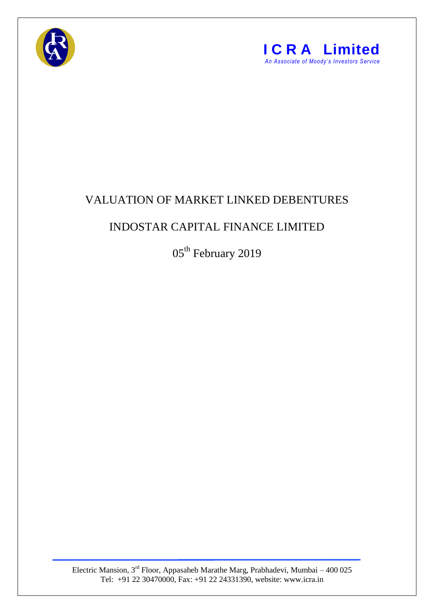



## VALUATION OF MARKET LINKED DEBENTURES

## INDOSTAR CAPITAL FINANCE LIMITED

05<sup>th</sup> February 2019

Electric Mansion,  $3<sup>rd</sup>$  Floor, Appasaheb Marathe Marg, Prabhadevi, Mumbai – 400 025 Tel: +91 22 30470000, Fax: +91 22 24331390, website: www.icra.in